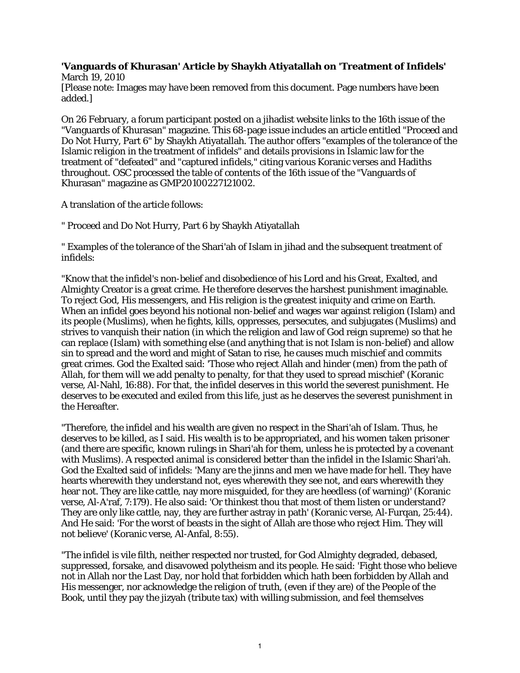## **'Vanguards of Khurasan' Article by Shaykh Atiyatallah on 'Treatment of Infidels'** March 19, 2010

[Please note: Images may have been removed from this document. Page numbers have been added.]

On 26 February, a forum participant posted on a jihadist website links to the 16th issue of the "Vanguards of Khurasan" magazine. This 68-page issue includes an article entitled "Proceed and Do Not Hurry, Part 6" by Shaykh Atiyatallah. The author offers "examples of the tolerance of the Islamic religion in the treatment of infidels" and details provisions in Islamic law for the treatment of "defeated" and "captured infidels," citing various Koranic verses and Hadiths throughout. OSC processed the table of contents of the 16th issue of the "Vanguards of Khurasan" magazine as GMP20100227121002.

A translation of the article follows:

" Proceed and Do Not Hurry, Part 6 by Shaykh Atiyatallah

" Examples of the tolerance of the Shari'ah of Islam in jihad and the subsequent treatment of infidels:

"Know that the infidel's non-belief and disobedience of his Lord and his Great, Exalted, and Almighty Creator is a great crime. He therefore deserves the harshest punishment imaginable. To reject God, His messengers, and His religion is the greatest iniquity and crime on Earth. When an infidel goes beyond his notional non-belief and wages war against religion (Islam) and its people (Muslims), when he fights, kills, oppresses, persecutes, and subjugates (Muslims) and strives to vanquish their nation (in which the religion and law of God reign supreme) so that he can replace (Islam) with something else (and anything that is not Islam is non-belief) and allow sin to spread and the word and might of Satan to rise, he causes much mischief and commits great crimes. God the Exalted said: 'Those who reject Allah and hinder (men) from the path of Allah, for them will we add penalty to penalty, for that they used to spread mischief' (Koranic verse, Al-Nahl, 16:88). For that, the infidel deserves in this world the severest punishment. He deserves to be executed and exiled from this life, just as he deserves the severest punishment in the Hereafter.

"Therefore, the infidel and his wealth are given no respect in the Shari'ah of Islam. Thus, he deserves to be killed, as I said. His wealth is to be appropriated, and his women taken prisoner (and there are specific, known rulings in Shari'ah for them, unless he is protected by a covenant with Muslims). A respected animal is considered better than the infidel in the Islamic Shari'ah. God the Exalted said of infidels: 'Many are the jinns and men we have made for hell. They have hearts wherewith they understand not, eyes wherewith they see not, and ears wherewith they hear not. They are like cattle, nay more misguided, for they are heedless (of warning)' (Koranic verse, Al-A'raf, 7:179). He also said: 'Or thinkest thou that most of them listen or understand? They are only like cattle, nay, they are further astray in path' (Koranic verse, Al-Furqan, 25:44). And He said: 'For the worst of beasts in the sight of Allah are those who reject Him. They will not believe' (Koranic verse, Al-Anfal, 8:55).

"The infidel is vile filth, neither respected nor trusted, for God Almighty degraded, debased, suppressed, forsake, and disavowed polytheism and its people. He said: 'Fight those who believe not in Allah nor the Last Day, nor hold that forbidden which hath been forbidden by Allah and His messenger, nor acknowledge the religion of truth, (even if they are) of the People of the Book, until they pay the jizyah (tribute tax) with willing submission, and feel themselves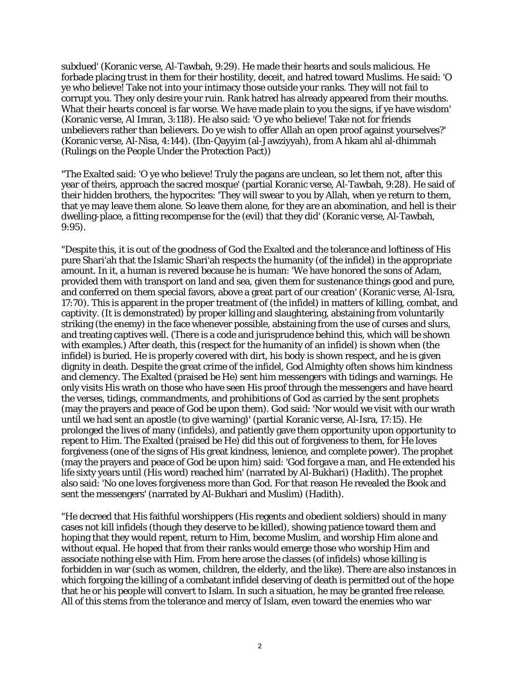subdued' (Koranic verse, Al-Tawbah, 9:29). He made their hearts and souls malicious. He forbade placing trust in them for their hostility, deceit, and hatred toward Muslims. He said: 'O ye who believe! Take not into your intimacy those outside your ranks. They will not fail to corrupt you. They only desire your ruin. Rank hatred has already appeared from their mouths. What their hearts conceal is far worse. We have made plain to you the signs, if ye have wisdom' (Koranic verse, Al Imran, 3:118). He also said: 'O ye who believe! Take not for friends unbelievers rather than believers. Do ye wish to offer Allah an open proof against yourselves?' (Koranic verse, Al-Nisa, 4:144). (Ibn-Qayyim (al-Jawziyyah), from A hkam ahl al-dhimmah (Rulings on the People Under the Protection Pact))

"The Exalted said: 'O ye who believe! Truly the pagans are unclean, so let them not, after this year of theirs, approach the sacred mosque' (partial Koranic verse, Al-Tawbah, 9:28). He said of their hidden brothers, the hypocrites: 'They will swear to you by Allah, when ye return to them, that ye may leave them alone. So leave them alone, for they are an abomination, and hell is their dwelling-place, a fitting recompense for the (evil) that they did' (Koranic verse, Al-Tawbah, 9:95).

"Despite this, it is out of the goodness of God the Exalted and the tolerance and loftiness of His pure Shari'ah that the Islamic Shari'ah respects the humanity (of the infidel) in the appropriate amount. In it, a human is revered because he is human: 'We have honored the sons of Adam, provided them with transport on land and sea, given them for sustenance things good and pure, and conferred on them special favors, above a great part of our creation' (Koranic verse, Al-Isra, 17:70). This is apparent in the proper treatment of (the infidel) in matters of killing, combat, and captivity. (It is demonstrated) by proper killing and slaughtering, abstaining from voluntarily striking (the enemy) in the face whenever possible, abstaining from the use of curses and slurs, and treating captives well. (There is a code and jurisprudence behind this, which will be shown with examples.) After death, this (respect for the humanity of an infidel) is shown when (the infidel) is buried. He is properly covered with dirt, his body is shown respect, and he is given dignity in death. Despite the great crime of the infidel, God Almighty often shows him kindness and clemency. The Exalted (praised be He) sent him messengers with tidings and warnings. He only visits His wrath on those who have seen His proof through the messengers and have heard the verses, tidings, commandments, and prohibitions of God as carried by the sent prophets (may the prayers and peace of God be upon them). God said: 'Nor would we visit with our wrath until we had sent an apostle (to give warning)' (partial Koranic verse, Al-Isra, 17:15). He prolonged the lives of many (infidels), and patiently gave them opportunity upon opportunity to repent to Him. The Exalted (praised be He) did this out of forgiveness to them, for He loves forgiveness (one of the signs of His great kindness, lenience, and complete power). The prophet (may the prayers and peace of God be upon him) said: 'God forgave a man, and He extended his life sixty years until (His word) reached him' (narrated by Al-Bukhari) (Hadith). The prophet also said: 'No one loves forgiveness more than God. For that reason He revealed the Book and sent the messengers' (narrated by Al-Bukhari and Muslim) (Hadith).

"He decreed that His faithful worshippers (His regents and obedient soldiers) should in many cases not kill infidels (though they deserve to be killed), showing patience toward them and hoping that they would repent, return to Him, become Muslim, and worship Him alone and without equal. He hoped that from their ranks would emerge those who worship Him and associate nothing else with Him. From here arose the classes (of infidels) whose killing is forbidden in war (such as women, children, the elderly, and the like). There are also instances in which forgoing the killing of a combatant infidel deserving of death is permitted out of the hope that he or his people will convert to Islam. In such a situation, he may be granted free release. All of this stems from the tolerance and mercy of Islam, even toward the enemies who war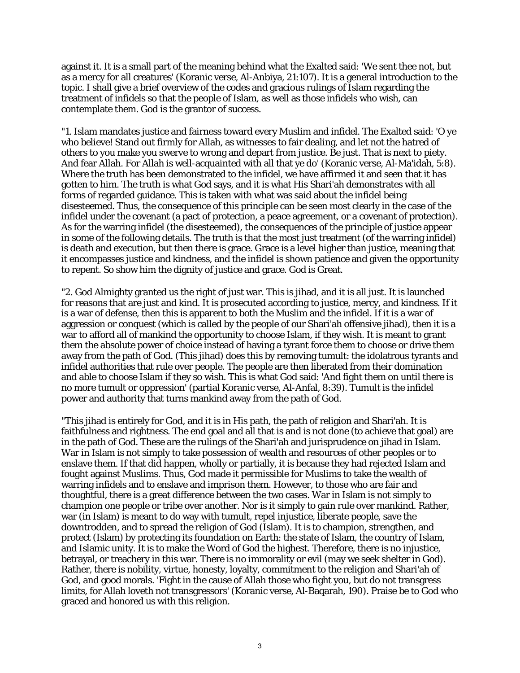against it. It is a small part of the meaning behind what the Exalted said: 'We sent thee not, but as a mercy for all creatures' (Koranic verse, Al-Anbiya, 21:107). It is a general introduction to the topic. I shall give a brief overview of the codes and gracious rulings of Islam regarding the treatment of infidels so that the people of Islam, as well as those infidels who wish, can contemplate them. God is the grantor of success.

"1. Islam mandates justice and fairness toward every Muslim and infidel. The Exalted said: 'O ye who believe! Stand out firmly for Allah, as witnesses to fair dealing, and let not the hatred of others to you make you swerve to wrong and depart from justice. Be just. That is next to piety. And fear Allah. For Allah is well-acquainted with all that ye do' (Koranic verse, Al-Ma'idah, 5:8). Where the truth has been demonstrated to the infidel, we have affirmed it and seen that it has gotten to him. The truth is what God says, and it is what His Shari'ah demonstrates with all forms of regarded guidance. This is taken with what was said about the infidel being disesteemed. Thus, the consequence of this principle can be seen most clearly in the case of the infidel under the covenant (a pact of protection, a peace agreement, or a covenant of protection). As for the warring infidel (the disesteemed), the consequences of the principle of justice appear in some of the following details. The truth is that the most just treatment (of the warring infidel) is death and execution, but then there is grace. Grace is a level higher than justice, meaning that it encompasses justice and kindness, and the infidel is shown patience and given the opportunity to repent. So show him the dignity of justice and grace. God is Great.

"2. God Almighty granted us the right of just war. This is jihad, and it is all just. It is launched for reasons that are just and kind. It is prosecuted according to justice, mercy, and kindness. If it is a war of defense, then this is apparent to both the Muslim and the infidel. If it is a war of aggression or conquest (which is called by the people of our Shari'ah offensive jihad), then it is a war to afford all of mankind the opportunity to choose Islam, if they wish. It is meant to grant them the absolute power of choice instead of having a tyrant force them to choose or drive them away from the path of God. (This jihad) does this by removing tumult: the idolatrous tyrants and infidel authorities that rule over people. The people are then liberated from their domination and able to choose Islam if they so wish. This is what God said: 'And fight them on until there is no more tumult or oppression' (partial Koranic verse, Al-Anfal, 8:39). Tumult is the infidel power and authority that turns mankind away from the path of God.

"This jihad is entirely for God, and it is in His path, the path of religion and Shari'ah. It is faithfulness and rightness. The end goal and all that is and is not done (to achieve that goal) are in the path of God. These are the rulings of the Shari'ah and jurisprudence on jihad in Islam. War in Islam is not simply to take possession of wealth and resources of other peoples or to enslave them. If that did happen, wholly or partially, it is because they had rejected Islam and fought against Muslims. Thus, God made it permissible for Muslims to take the wealth of warring infidels and to enslave and imprison them. However, to those who are fair and thoughtful, there is a great difference between the two cases. War in Islam is not simply to champion one people or tribe over another. Nor is it simply to gain rule over mankind. Rather, war (in Islam) is meant to do way with tumult, repel injustice, liberate people, save the downtrodden, and to spread the religion of God (Islam). It is to champion, strengthen, and protect (Islam) by protecting its foundation on Earth: the state of Islam, the country of Islam, and Islamic unity. It is to make the Word of God the highest. Therefore, there is no injustice, betrayal, or treachery in this war. There is no immorality or evil (may we seek shelter in God). Rather, there is nobility, virtue, honesty, loyalty, commitment to the religion and Shari'ah of God, and good morals. 'Fight in the cause of Allah those who fight you, but do not transgress limits, for Allah loveth not transgressors' (Koranic verse, Al-Baqarah, 190). Praise be to God who graced and honored us with this religion.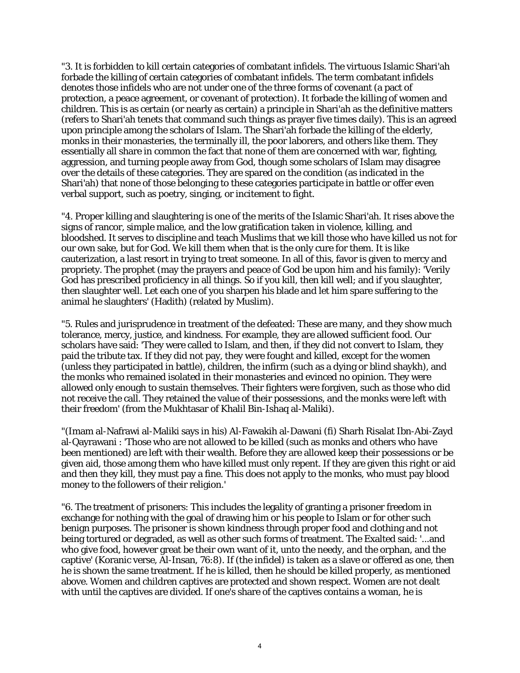"3. It is forbidden to kill certain categories of combatant infidels. The virtuous Islamic Shari'ah forbade the killing of certain categories of combatant infidels. The term combatant infidels denotes those infidels who are not under one of the three forms of covenant (a pact of protection, a peace agreement, or covenant of protection). It forbade the killing of women and children. This is as certain (or nearly as certain) a principle in Shari'ah as the definitive matters (refers to Shari'ah tenets that command such things as prayer five times daily). This is an agreed upon principle among the scholars of Islam. The Shari'ah forbade the killing of the elderly, monks in their monasteries, the terminally ill, the poor laborers, and others like them. They essentially all share in common the fact that none of them are concerned with war, fighting, aggression, and turning people away from God, though some scholars of Islam may disagree over the details of these categories. They are spared on the condition (as indicated in the Shari'ah) that none of those belonging to these categories participate in battle or offer even verbal support, such as poetry, singing, or incitement to fight.

"4. Proper killing and slaughtering is one of the merits of the Islamic Shari'ah. It rises above the signs of rancor, simple malice, and the low gratification taken in violence, killing, and bloodshed. It serves to discipline and teach Muslims that we kill those who have killed us not for our own sake, but for God. We kill them when that is the only cure for them. It is like cauterization, a last resort in trying to treat someone. In all of this, favor is given to mercy and propriety. The prophet (may the prayers and peace of God be upon him and his family): 'Verily God has prescribed proficiency in all things. So if you kill, then kill well; and if you slaughter, then slaughter well. Let each one of you sharpen his blade and let him spare suffering to the animal he slaughters' (Hadith) (related by Muslim).

"5. Rules and jurisprudence in treatment of the defeated: These are many, and they show much tolerance, mercy, justice, and kindness. For example, they are allowed sufficient food. Our scholars have said: 'They were called to Islam, and then, if they did not convert to Islam, they paid the tribute tax. If they did not pay, they were fought and killed, except for the women (unless they participated in battle), children, the infirm (such as a dying or blind shaykh), and the monks who remained isolated in their monasteries and evinced no opinion. They were allowed only enough to sustain themselves. Their fighters were forgiven, such as those who did not receive the call. They retained the value of their possessions, and the monks were left with their freedom' (from the Mukhtasar of Khalil Bin-Ishaq al-Maliki).

"(Imam al-Nafrawi al-Maliki says in his) Al-Fawakih al-Dawani (fi) Sharh Risalat Ibn-Abi-Zayd al-Qayrawani : 'Those who are not allowed to be killed (such as monks and others who have been mentioned) are left with their wealth. Before they are allowed keep their possessions or be given aid, those among them who have killed must only repent. If they are given this right or aid and then they kill, they must pay a fine. This does not apply to the monks, who must pay blood money to the followers of their religion.'

"6. The treatment of prisoners: This includes the legality of granting a prisoner freedom in exchange for nothing with the goal of drawing him or his people to Islam or for other such benign purposes. The prisoner is shown kindness through proper food and clothing and not being tortured or degraded, as well as other such forms of treatment. The Exalted said: '...and who give food, however great be their own want of it, unto the needy, and the orphan, and the captive' (Koranic verse, Al-Insan, 76:8). If (the infidel) is taken as a slave or offered as one, then he is shown the same treatment. If he is killed, then he should be killed properly, as mentioned above. Women and children captives are protected and shown respect. Women are not dealt with until the captives are divided. If one's share of the captives contains a woman, he is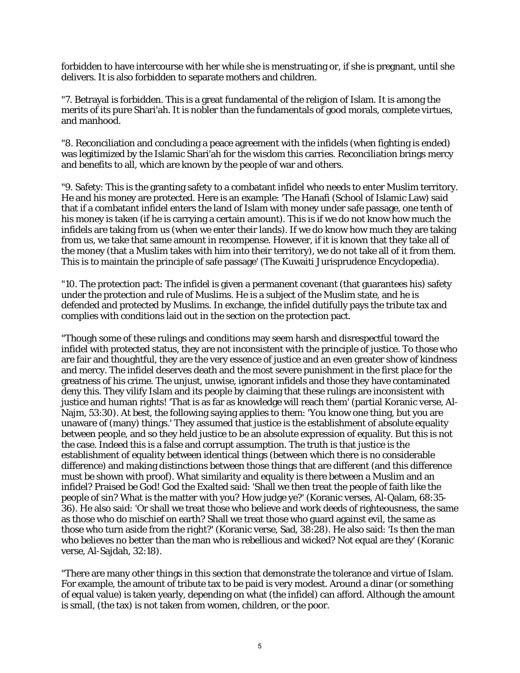forbidden to have intercourse with her while she is menstruating or, if she is pregnant, until she delivers. It is also forbidden to separate mothers and children.

"7. Betrayal is forbidden. This is a great fundamental of the religion of Islam. It is among the merits of its pure Shari'ah. It is nobler than the fundamentals of good morals, complete virtues, and manhood.

"8. Reconciliation and concluding a peace agreement with the infidels (when fighting is ended) was legitimized by the Islamic Shari'ah for the wisdom this carries. Reconciliation brings mercy and benefits to all, which are known by the people of war and others.

"9. Safety: This is the granting safety to a combatant infidel who needs to enter Muslim territory. He and his money are protected. Here is an example: 'The Hanafi (School of Islamic Law) said that if a combatant infidel enters the land of Islam with money under safe passage, one tenth of his money is taken (if he is carrying a certain amount). This is if we do not know how much the infidels are taking from us (when we enter their lands). If we do know how much they are taking from us, we take that same amount in recompense. However, if it is known that they take all of the money (that a Muslim takes with him into their territory), we do not take all of it from them. This is to maintain the principle of safe passage' (The Kuwaiti Jurisprudence Encyclopedia).

"10. The protection pact: The infidel is given a permanent covenant (that guarantees his) safety under the protection and rule of Muslims. He is a subject of the Muslim state, and he is defended and protected by Muslims. In exchange, the infidel dutifully pays the tribute tax and complies with conditions laid out in the section on the protection pact.

"Though some of these rulings and conditions may seem harsh and disrespectful toward the infidel with protected status, they are not inconsistent with the principle of justice. To those who are fair and thoughtful, they are the very essence of justice and an even greater show of kindness and mercy. The infidel deserves death and the most severe punishment in the first place for the greatness of his crime. The unjust, unwise, ignorant infidels and those they have contaminated deny this. They vilify Islam and its people by claiming that these rulings are inconsistent with justice and human rights! 'That is as far as knowledge will reach them' (partial Koranic verse, Al-Najm, 53:30). At best, the following saying applies to them: 'You know one thing, but you are unaware of (many) things.' They assumed that justice is the establishment of absolute equality between people, and so they held justice to be an absolute expression of equality. But this is not the case. Indeed this is a false and corrupt assumption. The truth is that justice is the establishment of equality between identical things (between which there is no considerable difference) and making distinctions between those things that are different (and this difference must be shown with proof). What similarity and equality is there between a Muslim and an infidel? Praised be God! God the Exalted said: 'Shall we then treat the people of faith like the people of sin? What is the matter with you? How judge ye?' (Koranic verses, Al-Qalam, 68:35- 36). He also said: 'Or shall we treat those who believe and work deeds of righteousness, the same as those who do mischief on earth? Shall we treat those who guard against evil, the same as those who turn aside from the right?' (Koranic verse, Sad, 38:28). He also said: 'Is then the man who believes no better than the man who is rebellious and wicked? Not equal are they' (Koranic verse, Al-Sajdah, 32:18).

"There are many other things in this section that demonstrate the tolerance and virtue of Islam. For example, the amount of tribute tax to be paid is very modest. Around a dinar (or something of equal value) is taken yearly, depending on what (the infidel) can afford. Although the amount is small, (the tax) is not taken from women, children, or the poor.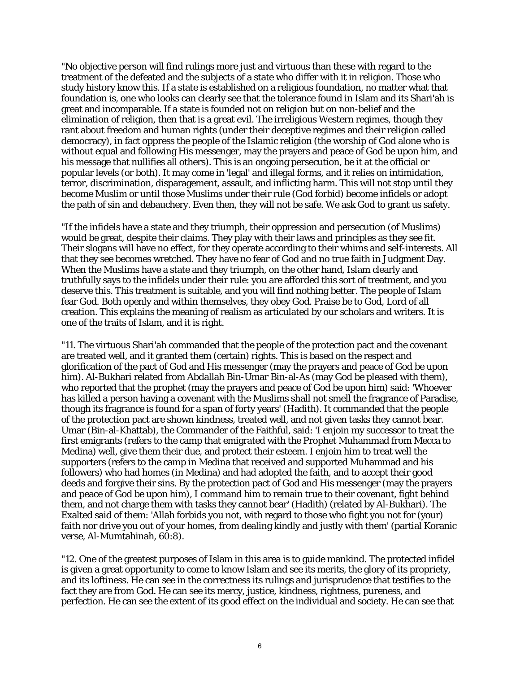"No objective person will find rulings more just and virtuous than these with regard to the treatment of the defeated and the subjects of a state who differ with it in religion. Those who study history know this. If a state is established on a religious foundation, no matter what that foundation is, one who looks can clearly see that the tolerance found in Islam and its Shari'ah is great and incomparable. If a state is founded not on religion but on non-belief and the elimination of religion, then that is a great evil. The irreligious Western regimes, though they rant about freedom and human rights (under their deceptive regimes and their religion called democracy), in fact oppress the people of the Islamic religion (the worship of God alone who is without equal and following His messenger, may the prayers and peace of God be upon him, and his message that nullifies all others). This is an ongoing persecution, be it at the official or popular levels (or both). It may come in 'legal' and illegal forms, and it relies on intimidation, terror, discrimination, disparagement, assault, and inflicting harm. This will not stop until they become Muslim or until those Muslims under their rule (God forbid) become infidels or adopt the path of sin and debauchery. Even then, they will not be safe. We ask God to grant us safety.

"If the infidels have a state and they triumph, their oppression and persecution (of Muslims) would be great, despite their claims. They play with their laws and principles as they see fit. Their slogans will have no effect, for they operate according to their whims and self-interests. All that they see becomes wretched. They have no fear of God and no true faith in Judgment Day. When the Muslims have a state and they triumph, on the other hand, Islam clearly and truthfully says to the infidels under their rule: you are afforded this sort of treatment, and you deserve this. This treatment is suitable, and you will find nothing better. The people of Islam fear God. Both openly and within themselves, they obey God. Praise be to God, Lord of all creation. This explains the meaning of realism as articulated by our scholars and writers. It is one of the traits of Islam, and it is right.

"11. The virtuous Shari'ah commanded that the people of the protection pact and the covenant are treated well, and it granted them (certain) rights. This is based on the respect and glorification of the pact of God and His messenger (may the prayers and peace of God be upon him). Al-Bukhari related from Abdallah Bin-Umar Bin-al-As (may God be pleased with them), who reported that the prophet (may the prayers and peace of God be upon him) said: 'Whoever has killed a person having a covenant with the Muslims shall not smell the fragrance of Paradise, though its fragrance is found for a span of forty years' (Hadith). It commanded that the people of the protection pact are shown kindness, treated well, and not given tasks they cannot bear. Umar (Bin-al-Khattab), the Commander of the Faithful, said: 'I enjoin my successor to treat the first emigrants (refers to the camp that emigrated with the Prophet Muhammad from Mecca to Medina) well, give them their due, and protect their esteem. I enjoin him to treat well the supporters (refers to the camp in Medina that received and supported Muhammad and his followers) who had homes (in Medina) and had adopted the faith, and to accept their good deeds and forgive their sins. By the protection pact of God and His messenger (may the prayers and peace of God be upon him), I command him to remain true to their covenant, fight behind them, and not charge them with tasks they cannot bear' (Hadith) (related by Al-Bukhari). The Exalted said of them: 'Allah forbids you not, with regard to those who fight you not for (your) faith nor drive you out of your homes, from dealing kindly and justly with them' (partial Koranic verse, Al-Mumtahinah, 60:8).

"12. One of the greatest purposes of Islam in this area is to guide mankind. The protected infidel is given a great opportunity to come to know Islam and see its merits, the glory of its propriety, and its loftiness. He can see in the correctness its rulings and jurisprudence that testifies to the fact they are from God. He can see its mercy, justice, kindness, rightness, pureness, and perfection. He can see the extent of its good effect on the individual and society. He can see that